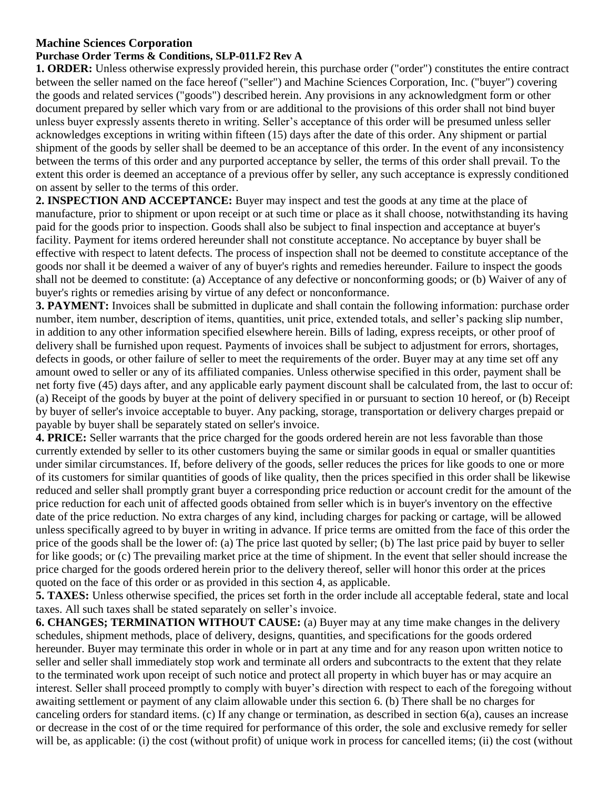## **Machine Sciences Corporation**

## **Purchase Order Terms & Conditions, SLP-011.F2 Rev A**

**1. ORDER:** Unless otherwise expressly provided herein, this purchase order ("order") constitutes the entire contract between the seller named on the face hereof ("seller") and Machine Sciences Corporation, Inc. ("buyer") covering the goods and related services ("goods") described herein. Any provisions in any acknowledgment form or other document prepared by seller which vary from or are additional to the provisions of this order shall not bind buyer unless buyer expressly assents thereto in writing. Seller's acceptance of this order will be presumed unless seller acknowledges exceptions in writing within fifteen (15) days after the date of this order. Any shipment or partial shipment of the goods by seller shall be deemed to be an acceptance of this order. In the event of any inconsistency between the terms of this order and any purported acceptance by seller, the terms of this order shall prevail. To the extent this order is deemed an acceptance of a previous offer by seller, any such acceptance is expressly conditioned on assent by seller to the terms of this order.

**2. INSPECTION AND ACCEPTANCE:** Buyer may inspect and test the goods at any time at the place of manufacture, prior to shipment or upon receipt or at such time or place as it shall choose, notwithstanding its having paid for the goods prior to inspection. Goods shall also be subject to final inspection and acceptance at buyer's facility. Payment for items ordered hereunder shall not constitute acceptance. No acceptance by buyer shall be effective with respect to latent defects. The process of inspection shall not be deemed to constitute acceptance of the goods nor shall it be deemed a waiver of any of buyer's rights and remedies hereunder. Failure to inspect the goods shall not be deemed to constitute: (a) Acceptance of any defective or nonconforming goods; or (b) Waiver of any of buyer's rights or remedies arising by virtue of any defect or nonconformance.

**3. PAYMENT:** Invoices shall be submitted in duplicate and shall contain the following information: purchase order number, item number, description of items, quantities, unit price, extended totals, and seller's packing slip number, in addition to any other information specified elsewhere herein. Bills of lading, express receipts, or other proof of delivery shall be furnished upon request. Payments of invoices shall be subject to adjustment for errors, shortages, defects in goods, or other failure of seller to meet the requirements of the order. Buyer may at any time set off any amount owed to seller or any of its affiliated companies. Unless otherwise specified in this order, payment shall be net forty five (45) days after, and any applicable early payment discount shall be calculated from, the last to occur of: (a) Receipt of the goods by buyer at the point of delivery specified in or pursuant to section 10 hereof, or (b) Receipt by buyer of seller's invoice acceptable to buyer. Any packing, storage, transportation or delivery charges prepaid or payable by buyer shall be separately stated on seller's invoice.

**4. PRICE:** Seller warrants that the price charged for the goods ordered herein are not less favorable than those currently extended by seller to its other customers buying the same or similar goods in equal or smaller quantities under similar circumstances. If, before delivery of the goods, seller reduces the prices for like goods to one or more of its customers for similar quantities of goods of like quality, then the prices specified in this order shall be likewise reduced and seller shall promptly grant buyer a corresponding price reduction or account credit for the amount of the price reduction for each unit of affected goods obtained from seller which is in buyer's inventory on the effective date of the price reduction. No extra charges of any kind, including charges for packing or cartage, will be allowed unless specifically agreed to by buyer in writing in advance. If price terms are omitted from the face of this order the price of the goods shall be the lower of: (a) The price last quoted by seller; (b) The last price paid by buyer to seller for like goods; or (c) The prevailing market price at the time of shipment. In the event that seller should increase the price charged for the goods ordered herein prior to the delivery thereof, seller will honor this order at the prices quoted on the face of this order or as provided in this section 4, as applicable.

**5. TAXES:** Unless otherwise specified, the prices set forth in the order include all acceptable federal, state and local taxes. All such taxes shall be stated separately on seller's invoice.

**6. CHANGES; TERMINATION WITHOUT CAUSE:** (a) Buyer may at any time make changes in the delivery schedules, shipment methods, place of delivery, designs, quantities, and specifications for the goods ordered hereunder. Buyer may terminate this order in whole or in part at any time and for any reason upon written notice to seller and seller shall immediately stop work and terminate all orders and subcontracts to the extent that they relate to the terminated work upon receipt of such notice and protect all property in which buyer has or may acquire an interest. Seller shall proceed promptly to comply with buyer's direction with respect to each of the foregoing without awaiting settlement or payment of any claim allowable under this section 6. (b) There shall be no charges for canceling orders for standard items. (c) If any change or termination, as described in section 6(a), causes an increase or decrease in the cost of or the time required for performance of this order, the sole and exclusive remedy for seller will be, as applicable: (i) the cost (without profit) of unique work in process for cancelled items; (ii) the cost (without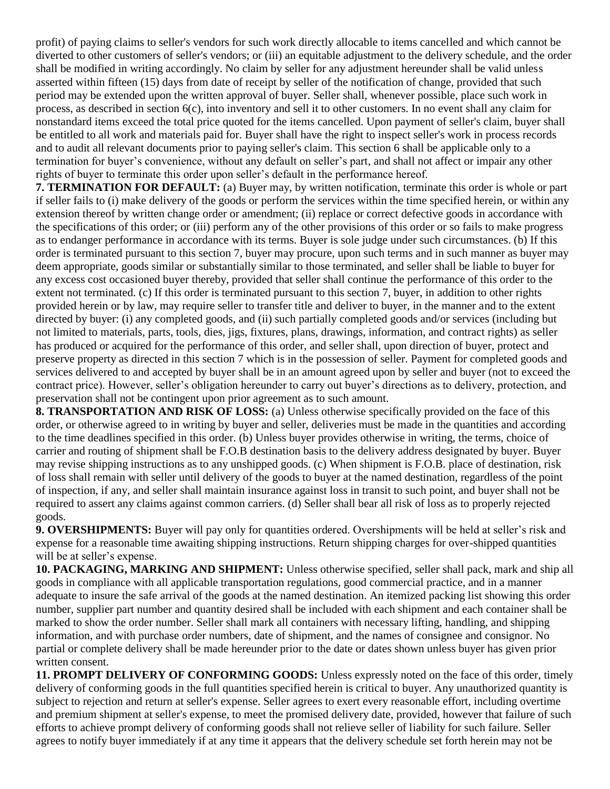profit) of paying claims to seller's vendors for such work directly allocable to items cancelled and which cannot be diverted to other customers of seller's vendors; or (iii) an equitable adjustment to the delivery schedule, and the order shall be modified in writing accordingly. No claim by seller for any adjustment hereunder shall be valid unless asserted within fifteen (15) days from date of receipt by seller of the notification of change, provided that such period may be extended upon the written approval of buyer. Seller shall, whenever possible, place such work in process, as described in section 6(c), into inventory and sell it to other customers. In no event shall any claim for nonstandard items exceed the total price quoted for the items cancelled. Upon payment of seller's claim, buyer shall be entitled to all work and materials paid for. Buyer shall have the right to inspect seller's work in process records and to audit all relevant documents prior to paying seller's claim. This section 6 shall be applicable only to a termination for buyer's convenience, without any default on seller's part, and shall not affect or impair any other rights of buyer to terminate this order upon seller's default in the performance hereof.

**7. TERMINATION FOR DEFAULT:** (a) Buyer may, by written notification, terminate this order is whole or part if seller fails to (i) make delivery of the goods or perform the services within the time specified herein, or within any extension thereof by written change order or amendment; (ii) replace or correct defective goods in accordance with the specifications of this order; or (iii) perform any of the other provisions of this order or so fails to make progress as to endanger performance in accordance with its terms. Buyer is sole judge under such circumstances. (b) If this order is terminated pursuant to this section 7, buyer may procure, upon such terms and in such manner as buyer may deem appropriate, goods similar or substantially similar to those terminated, and seller shall be liable to buyer for any excess cost occasioned buyer thereby, provided that seller shall continue the performance of this order to the extent not terminated. (c) If this order is terminated pursuant to this section 7, buyer, in addition to other rights provided herein or by law, may require seller to transfer title and deliver to buyer, in the manner and to the extent directed by buyer: (i) any completed goods, and (ii) such partially completed goods and/or services (including but not limited to materials, parts, tools, dies, jigs, fixtures, plans, drawings, information, and contract rights) as seller has produced or acquired for the performance of this order, and seller shall, upon direction of buyer, protect and preserve property as directed in this section 7 which is in the possession of seller. Payment for completed goods and services delivered to and accepted by buyer shall be in an amount agreed upon by seller and buyer (not to exceed the contract price). However, seller's obligation hereunder to carry out buyer's directions as to delivery, protection, and preservation shall not be contingent upon prior agreement as to such amount.

**8. TRANSPORTATION AND RISK OF LOSS:** (a) Unless otherwise specifically provided on the face of this order, or otherwise agreed to in writing by buyer and seller, deliveries must be made in the quantities and according to the time deadlines specified in this order. (b) Unless buyer provides otherwise in writing, the terms, choice of carrier and routing of shipment shall be F.O.B destination basis to the delivery address designated by buyer. Buyer may revise shipping instructions as to any unshipped goods. (c) When shipment is F.O.B. place of destination, risk of loss shall remain with seller until delivery of the goods to buyer at the named destination, regardless of the point of inspection, if any, and seller shall maintain insurance against loss in transit to such point, and buyer shall not be required to assert any claims against common carriers. (d) Seller shall bear all risk of loss as to properly rejected goods.

**9. OVERSHIPMENTS:** Buyer will pay only for quantities ordered. Overshipments will be held at seller's risk and expense for a reasonable time awaiting shipping instructions. Return shipping charges for over-shipped quantities will be at seller's expense.

**10. PACKAGING, MARKING AND SHIPMENT:** Unless otherwise specified, seller shall pack, mark and ship all goods in compliance with all applicable transportation regulations, good commercial practice, and in a manner adequate to insure the safe arrival of the goods at the named destination. An itemized packing list showing this order number, supplier part number and quantity desired shall be included with each shipment and each container shall be marked to show the order number. Seller shall mark all containers with necessary lifting, handling, and shipping information, and with purchase order numbers, date of shipment, and the names of consignee and consignor. No partial or complete delivery shall be made hereunder prior to the date or dates shown unless buyer has given prior written consent.

**11. PROMPT DELIVERY OF CONFORMING GOODS:** Unless expressly noted on the face of this order, timely delivery of conforming goods in the full quantities specified herein is critical to buyer. Any unauthorized quantity is subject to rejection and return at seller's expense. Seller agrees to exert every reasonable effort, including overtime and premium shipment at seller's expense, to meet the promised delivery date, provided, however that failure of such efforts to achieve prompt delivery of conforming goods shall not relieve seller of liability for such failure. Seller agrees to notify buyer immediately if at any time it appears that the delivery schedule set forth herein may not be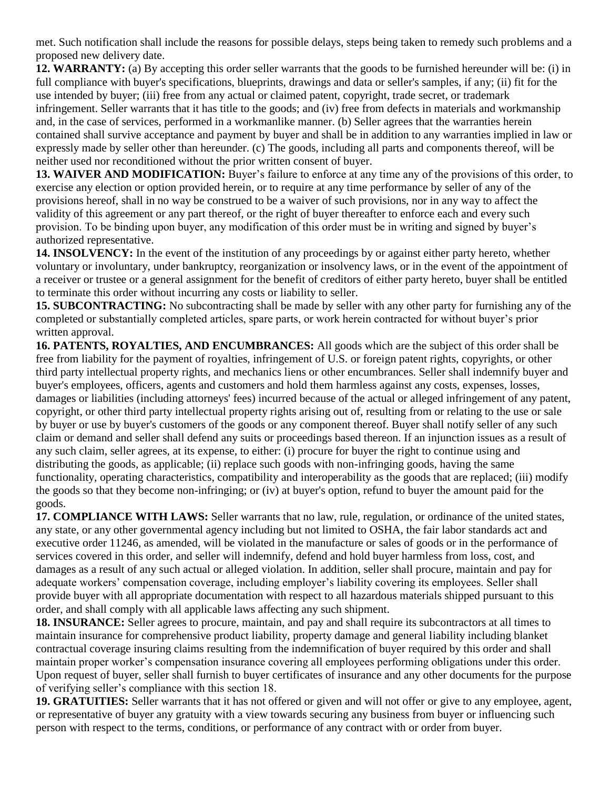met. Such notification shall include the reasons for possible delays, steps being taken to remedy such problems and a proposed new delivery date.

**12. WARRANTY:** (a) By accepting this order seller warrants that the goods to be furnished hereunder will be: (i) in full compliance with buyer's specifications, blueprints, drawings and data or seller's samples, if any; (ii) fit for the use intended by buyer; (iii) free from any actual or claimed patent, copyright, trade secret, or trademark infringement. Seller warrants that it has title to the goods; and (iv) free from defects in materials and workmanship and, in the case of services, performed in a workmanlike manner. (b) Seller agrees that the warranties herein contained shall survive acceptance and payment by buyer and shall be in addition to any warranties implied in law or expressly made by seller other than hereunder. (c) The goods, including all parts and components thereof, will be neither used nor reconditioned without the prior written consent of buyer.

**13. WAIVER AND MODIFICATION:** Buyer's failure to enforce at any time any of the provisions of this order, to exercise any election or option provided herein, or to require at any time performance by seller of any of the provisions hereof, shall in no way be construed to be a waiver of such provisions, nor in any way to affect the validity of this agreement or any part thereof, or the right of buyer thereafter to enforce each and every such provision. To be binding upon buyer, any modification of this order must be in writing and signed by buyer's authorized representative.

**14. INSOLVENCY:** In the event of the institution of any proceedings by or against either party hereto, whether voluntary or involuntary, under bankruptcy, reorganization or insolvency laws, or in the event of the appointment of a receiver or trustee or a general assignment for the benefit of creditors of either party hereto, buyer shall be entitled to terminate this order without incurring any costs or liability to seller.

**15. SUBCONTRACTING:** No subcontracting shall be made by seller with any other party for furnishing any of the completed or substantially completed articles, spare parts, or work herein contracted for without buyer's prior written approval.

**16. PATENTS, ROYALTIES, AND ENCUMBRANCES:** All goods which are the subject of this order shall be free from liability for the payment of royalties, infringement of U.S. or foreign patent rights, copyrights, or other third party intellectual property rights, and mechanics liens or other encumbrances. Seller shall indemnify buyer and buyer's employees, officers, agents and customers and hold them harmless against any costs, expenses, losses, damages or liabilities (including attorneys' fees) incurred because of the actual or alleged infringement of any patent, copyright, or other third party intellectual property rights arising out of, resulting from or relating to the use or sale by buyer or use by buyer's customers of the goods or any component thereof. Buyer shall notify seller of any such claim or demand and seller shall defend any suits or proceedings based thereon. If an injunction issues as a result of any such claim, seller agrees, at its expense, to either: (i) procure for buyer the right to continue using and distributing the goods, as applicable; (ii) replace such goods with non-infringing goods, having the same functionality, operating characteristics, compatibility and interoperability as the goods that are replaced; (iii) modify the goods so that they become non-infringing; or (iv) at buyer's option, refund to buyer the amount paid for the goods.

**17. COMPLIANCE WITH LAWS:** Seller warrants that no law, rule, regulation, or ordinance of the united states, any state, or any other governmental agency including but not limited to OSHA, the fair labor standards act and executive order 11246, as amended, will be violated in the manufacture or sales of goods or in the performance of services covered in this order, and seller will indemnify, defend and hold buyer harmless from loss, cost, and damages as a result of any such actual or alleged violation. In addition, seller shall procure, maintain and pay for adequate workers' compensation coverage, including employer's liability covering its employees. Seller shall provide buyer with all appropriate documentation with respect to all hazardous materials shipped pursuant to this order, and shall comply with all applicable laws affecting any such shipment.

**18. INSURANCE:** Seller agrees to procure, maintain, and pay and shall require its subcontractors at all times to maintain insurance for comprehensive product liability, property damage and general liability including blanket contractual coverage insuring claims resulting from the indemnification of buyer required by this order and shall maintain proper worker's compensation insurance covering all employees performing obligations under this order. Upon request of buyer, seller shall furnish to buyer certificates of insurance and any other documents for the purpose of verifying seller's compliance with this section 18.

**19. GRATUITIES:** Seller warrants that it has not offered or given and will not offer or give to any employee, agent, or representative of buyer any gratuity with a view towards securing any business from buyer or influencing such person with respect to the terms, conditions, or performance of any contract with or order from buyer.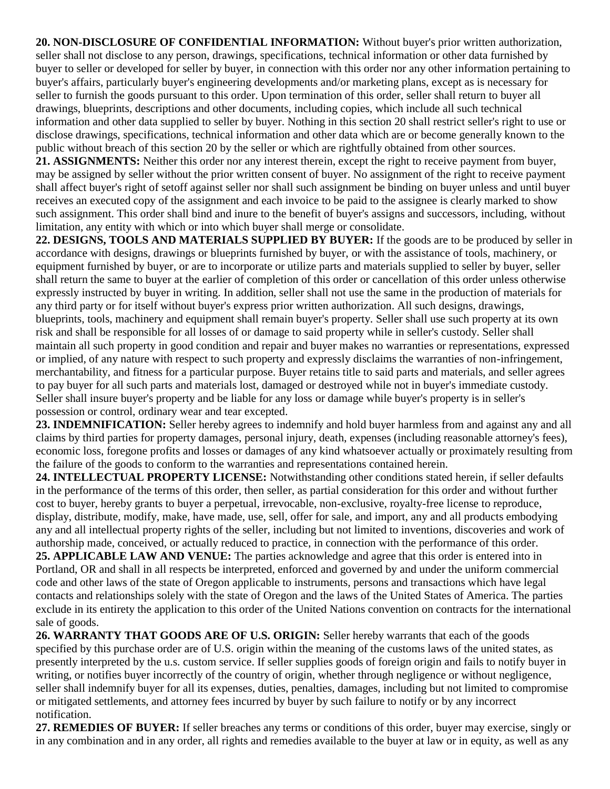**20. NON-DISCLOSURE OF CONFIDENTIAL INFORMATION:** Without buyer's prior written authorization, seller shall not disclose to any person, drawings, specifications, technical information or other data furnished by buyer to seller or developed for seller by buyer, in connection with this order nor any other information pertaining to buyer's affairs, particularly buyer's engineering developments and/or marketing plans, except as is necessary for seller to furnish the goods pursuant to this order. Upon termination of this order, seller shall return to buyer all drawings, blueprints, descriptions and other documents, including copies, which include all such technical information and other data supplied to seller by buyer. Nothing in this section 20 shall restrict seller's right to use or disclose drawings, specifications, technical information and other data which are or become generally known to the public without breach of this section 20 by the seller or which are rightfully obtained from other sources.

**21. ASSIGNMENTS:** Neither this order nor any interest therein, except the right to receive payment from buyer, may be assigned by seller without the prior written consent of buyer. No assignment of the right to receive payment shall affect buyer's right of setoff against seller nor shall such assignment be binding on buyer unless and until buyer receives an executed copy of the assignment and each invoice to be paid to the assignee is clearly marked to show such assignment. This order shall bind and inure to the benefit of buyer's assigns and successors, including, without limitation, any entity with which or into which buyer shall merge or consolidate.

**22. DESIGNS, TOOLS AND MATERIALS SUPPLIED BY BUYER:** If the goods are to be produced by seller in accordance with designs, drawings or blueprints furnished by buyer, or with the assistance of tools, machinery, or equipment furnished by buyer, or are to incorporate or utilize parts and materials supplied to seller by buyer, seller shall return the same to buyer at the earlier of completion of this order or cancellation of this order unless otherwise expressly instructed by buyer in writing. In addition, seller shall not use the same in the production of materials for any third party or for itself without buyer's express prior written authorization. All such designs, drawings, blueprints, tools, machinery and equipment shall remain buyer's property. Seller shall use such property at its own risk and shall be responsible for all losses of or damage to said property while in seller's custody. Seller shall maintain all such property in good condition and repair and buyer makes no warranties or representations, expressed or implied, of any nature with respect to such property and expressly disclaims the warranties of non-infringement, merchantability, and fitness for a particular purpose. Buyer retains title to said parts and materials, and seller agrees to pay buyer for all such parts and materials lost, damaged or destroyed while not in buyer's immediate custody. Seller shall insure buyer's property and be liable for any loss or damage while buyer's property is in seller's possession or control, ordinary wear and tear excepted.

**23. INDEMNIFICATION:** Seller hereby agrees to indemnify and hold buyer harmless from and against any and all claims by third parties for property damages, personal injury, death, expenses (including reasonable attorney's fees), economic loss, foregone profits and losses or damages of any kind whatsoever actually or proximately resulting from the failure of the goods to conform to the warranties and representations contained herein.

**24. INTELLECTUAL PROPERTY LICENSE:** Notwithstanding other conditions stated herein, if seller defaults in the performance of the terms of this order, then seller, as partial consideration for this order and without further cost to buyer, hereby grants to buyer a perpetual, irrevocable, non-exclusive, royalty-free license to reproduce, display, distribute, modify, make, have made, use, sell, offer for sale, and import, any and all products embodying any and all intellectual property rights of the seller, including but not limited to inventions, discoveries and work of authorship made, conceived, or actually reduced to practice, in connection with the performance of this order. **25. APPLICABLE LAW AND VENUE:** The parties acknowledge and agree that this order is entered into in Portland, OR and shall in all respects be interpreted, enforced and governed by and under the uniform commercial code and other laws of the state of Oregon applicable to instruments, persons and transactions which have legal contacts and relationships solely with the state of Oregon and the laws of the United States of America. The parties exclude in its entirety the application to this order of the United Nations convention on contracts for the international sale of goods.

**26. WARRANTY THAT GOODS ARE OF U.S. ORIGIN:** Seller hereby warrants that each of the goods specified by this purchase order are of U.S. origin within the meaning of the customs laws of the united states, as presently interpreted by the u.s. custom service. If seller supplies goods of foreign origin and fails to notify buyer in writing, or notifies buyer incorrectly of the country of origin, whether through negligence or without negligence, seller shall indemnify buyer for all its expenses, duties, penalties, damages, including but not limited to compromise or mitigated settlements, and attorney fees incurred by buyer by such failure to notify or by any incorrect notification.

**27. REMEDIES OF BUYER:** If seller breaches any terms or conditions of this order, buyer may exercise, singly or in any combination and in any order, all rights and remedies available to the buyer at law or in equity, as well as any